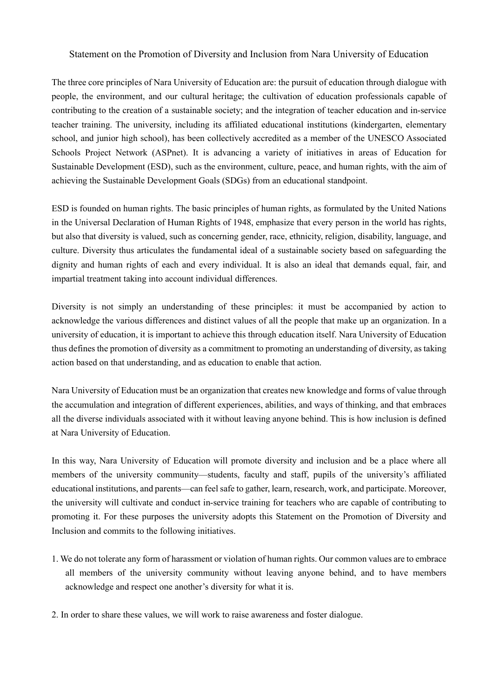## Statement on the Promotion of Diversity and Inclusion from Nara University of Education

The three core principles of Nara University of Education are: the pursuit of education through dialogue with people, the environment, and our cultural heritage; the cultivation of education professionals capable of contributing to the creation of a sustainable society; and the integration of teacher education and in-service teacher training. The university, including its affiliated educational institutions (kindergarten, elementary school, and junior high school), has been collectively accredited as a member of the UNESCO Associated Schools Project Network (ASPnet). It is advancing a variety of initiatives in areas of Education for Sustainable Development (ESD), such as the environment, culture, peace, and human rights, with the aim of achieving the Sustainable Development Goals (SDGs) from an educational standpoint.

ESD is founded on human rights. The basic principles of human rights, as formulated by the United Nations in the Universal Declaration of Human Rights of 1948, emphasize that every person in the world has rights, but also that diversity is valued, such as concerning gender, race, ethnicity, religion, disability, language, and culture. Diversity thus articulates the fundamental ideal of a sustainable society based on safeguarding the dignity and human rights of each and every individual. It is also an ideal that demands equal, fair, and impartial treatment taking into account individual differences.

Diversity is not simply an understanding of these principles: it must be accompanied by action to acknowledge the various differences and distinct values of all the people that make up an organization. In a university of education, it is important to achieve this through education itself. Nara University of Education thus defines the promotion of diversity as a commitment to promoting an understanding of diversity, as taking action based on that understanding, and as education to enable that action.

Nara University of Education must be an organization that creates new knowledge and forms of value through the accumulation and integration of different experiences, abilities, and ways of thinking, and that embraces all the diverse individuals associated with it without leaving anyone behind. This is how inclusion is defined at Nara University of Education.

In this way, Nara University of Education will promote diversity and inclusion and be a place where all members of the university community—students, faculty and staff, pupils of the university's affiliated educational institutions, and parents—can feelsafe to gather, learn, research, work, and participate. Moreover, the university will cultivate and conduct in-service training for teachers who are capable of contributing to promoting it. For these purposes the university adopts this Statement on the Promotion of Diversity and Inclusion and commits to the following initiatives.

- 1. We do not tolerate any form of harassment or violation of human rights. Our common values are to embrace all members of the university community without leaving anyone behind, and to have members acknowledge and respect one another's diversity for what it is.
- 2. In order to share these values, we will work to raise awareness and foster dialogue.